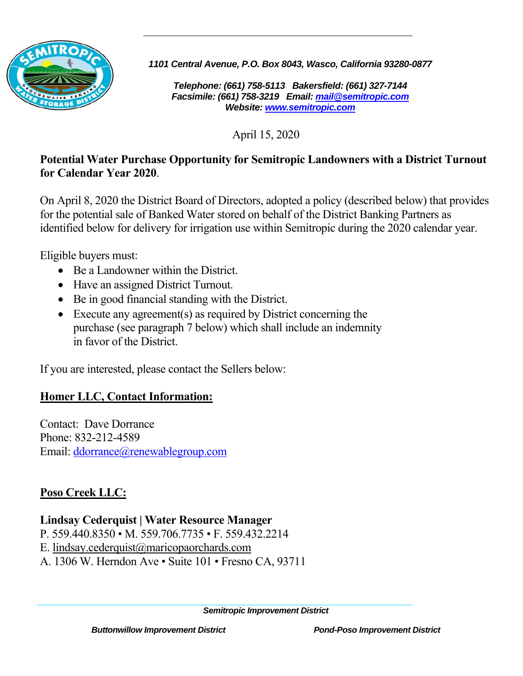

*1101 Central Avenue, P.O. Box 8043, Wasco, California 93280-0877* 

*Telephone: (661) 758-5113 Bakersfield: (661) 327-7144 Facsimile: (661) 758-3219 Email: mail@semitropic.com Website: www.semitropic.com*

April 15, 2020

### **Potential Water Purchase Opportunity for Semitropic Landowners with a District Turnout for Calendar Year 2020**.

On April 8, 2020 the District Board of Directors, adopted a policy (described below) that provides for the potential sale of Banked Water stored on behalf of the District Banking Partners as identified below for delivery for irrigation use within Semitropic during the 2020 calendar year.

Eligible buyers must:

- Be a Landowner within the District.
- Have an assigned District Turnout.
- Be in good financial standing with the District.
- Execute any agreement(s) as required by District concerning the purchase (see paragraph 7 below) which shall include an indemnity in favor of the District.

If you are interested, please contact the Sellers below:

## **Homer LLC, Contact Information:**

Contact: Dave Dorrance Phone: 832-212-4589 Email: ddorrance@renewablegroup.com

# **Poso Creek LLC:**

## **Lindsay Cederquist | Water Resource Manager**

- P. 559.440.8350 M. 559.706.7735 F. 559.432.2214
- E. lindsay.cederquist@maricopaorchards.com
- A. 1306 W. Herndon Ave Suite 101 Fresno CA, 93711

*Semitropic Improvement District*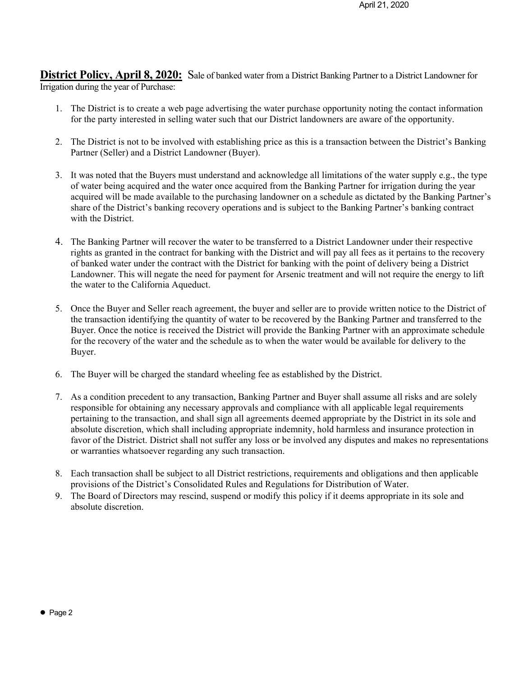**District Policy, April 8, 2020:** Sale of banked water from a District Banking Partner to a District Landowner for Irrigation during the year of Purchase:

- 1. The District is to create a web page advertising the water purchase opportunity noting the contact information for the party interested in selling water such that our District landowners are aware of the opportunity.
- 2. The District is not to be involved with establishing price as this is a transaction between the District's Banking Partner (Seller) and a District Landowner (Buyer).
- 3. It was noted that the Buyers must understand and acknowledge all limitations of the water supply e.g., the type of water being acquired and the water once acquired from the Banking Partner for irrigation during the year acquired will be made available to the purchasing landowner on a schedule as dictated by the Banking Partner's share of the District's banking recovery operations and is subject to the Banking Partner's banking contract with the District.
- 4. The Banking Partner will recover the water to be transferred to a District Landowner under their respective rights as granted in the contract for banking with the District and will pay all fees as it pertains to the recovery of banked water under the contract with the District for banking with the point of delivery being a District Landowner. This will negate the need for payment for Arsenic treatment and will not require the energy to lift the water to the California Aqueduct.
- 5. Once the Buyer and Seller reach agreement, the buyer and seller are to provide written notice to the District of the transaction identifying the quantity of water to be recovered by the Banking Partner and transferred to the Buyer. Once the notice is received the District will provide the Banking Partner with an approximate schedule for the recovery of the water and the schedule as to when the water would be available for delivery to the Buyer.
- 6. The Buyer will be charged the standard wheeling fee as established by the District.
- 7. As a condition precedent to any transaction, Banking Partner and Buyer shall assume all risks and are solely responsible for obtaining any necessary approvals and compliance with all applicable legal requirements pertaining to the transaction, and shall sign all agreements deemed appropriate by the District in its sole and absolute discretion, which shall including appropriate indemnity, hold harmless and insurance protection in favor of the District. District shall not suffer any loss or be involved any disputes and makes no representations or warranties whatsoever regarding any such transaction.
- 8. Each transaction shall be subject to all District restrictions, requirements and obligations and then applicable provisions of the District's Consolidated Rules and Regulations for Distribution of Water.
- 9. The Board of Directors may rescind, suspend or modify this policy if it deems appropriate in its sole and absolute discretion.